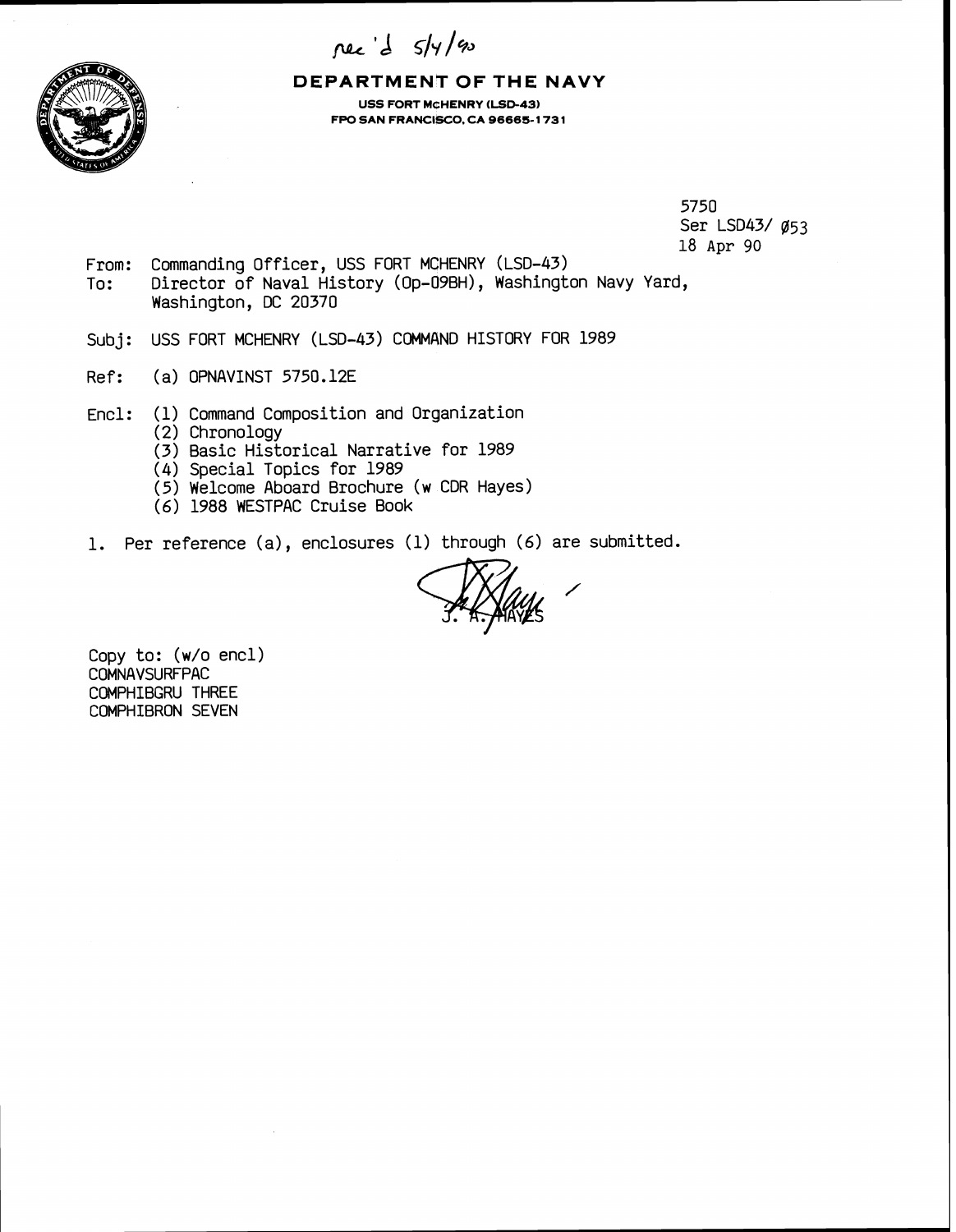nec d 5/4/90



**DEPARTMENT OF THE NAVY USS FORT MCHENRY (LSD-43) FPO SAN FRANCISCO, CA 96665-1731** 

> 5750 Ser LSD43/ Ø53 18 **Apr** 90

- From: Commanding Officer, USS FORT MCHENRY (LSD-43) To: Director of Naval History (Op-09BH), Washington Navy Yard, Washington, DC 20370
- Subj: USS FORT MCHENRY (LSD-43) COMMAND HISTORY FOR 1989
- Ref: (a) OPNAVINST 5750.12E
- Encl : ( **1)** Command Composition and Organization
	- (2) Chronology
	- (3) Basic Historical Narrative for 1989
	- (4) Special Topics for 1989
	- (5) Welcome Aboard Brochure (w CDR Hayes)
	- (6) 1988 WESTPAC Cruise Book
- **1.** Per reference (a), enclosures (1) through (6) are submitted.

Copy to: (w/o encl) COMNAVSURFPAC COMPHIBGRU THREE COMPHIBRON SEVEN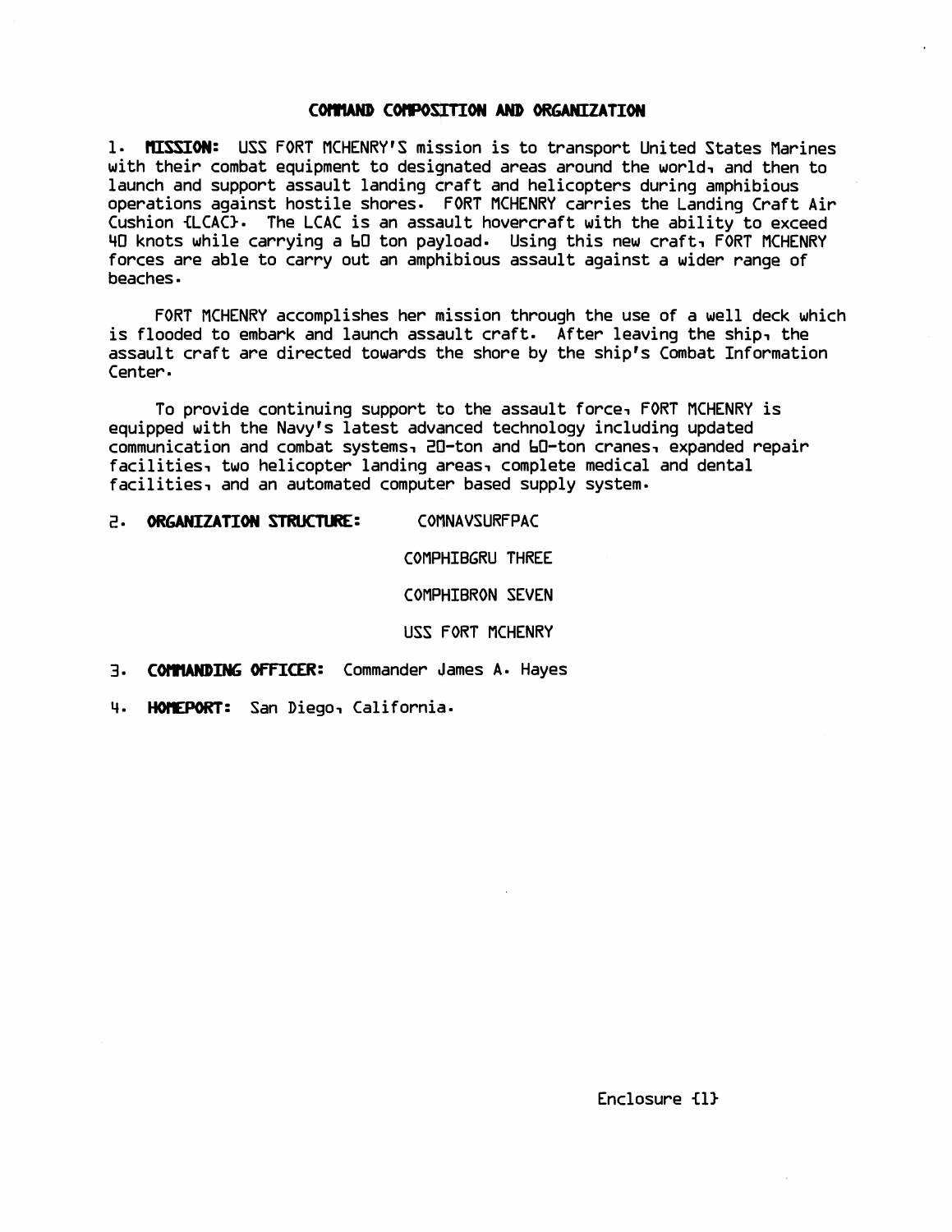## **COMMAND COMPOSITION AND ORGANIZATION**

1- **KISSION:** USS FORT NCHENRY'S mission is to transport United States Marines with their combat equipment to designated areas around the world, and then to launch and support assault landing craft and helicopters during amphibious operations against hostile shores. FORT NCHENRY carries the Landing Craft Air Cushion {LCAC}. The LCAC is an assault hovercraft with the ability to exceed 40 knots while carrying a 60 ton payload- Using this new craft, FORT NCHENRY forces are able to carry out an amphibious assault against a wider range of beaches

FORT MCHENRY accomplishes her mission through the use of a well deck which is flooded to embark and launch assault craft. After leaving the ship, the assault craft are directed towards the shore by the ship's Combat Information Center.

To provide continuing support to the assault force, FORT MCHENRY is equipped with the Navy's latest advanced technology including updated communication and combat systems, 20-ton and 60-ton cranes, expanded repair facilities, two helicopter landing areas, complete medical and dental facilities, and an automated computer based supply system-

## 2. ORGANIZATION STRUCTURE: COMNAVSURFPAC

COMPHIBGRU THREE

COMPHIBRON SEVEN

USS FORT NCHENRY

- **3. COMMANDING OFFICER:** Commander James A. Hayes
- **4.** HOIWORT: San Diego, California-

Enclosure €11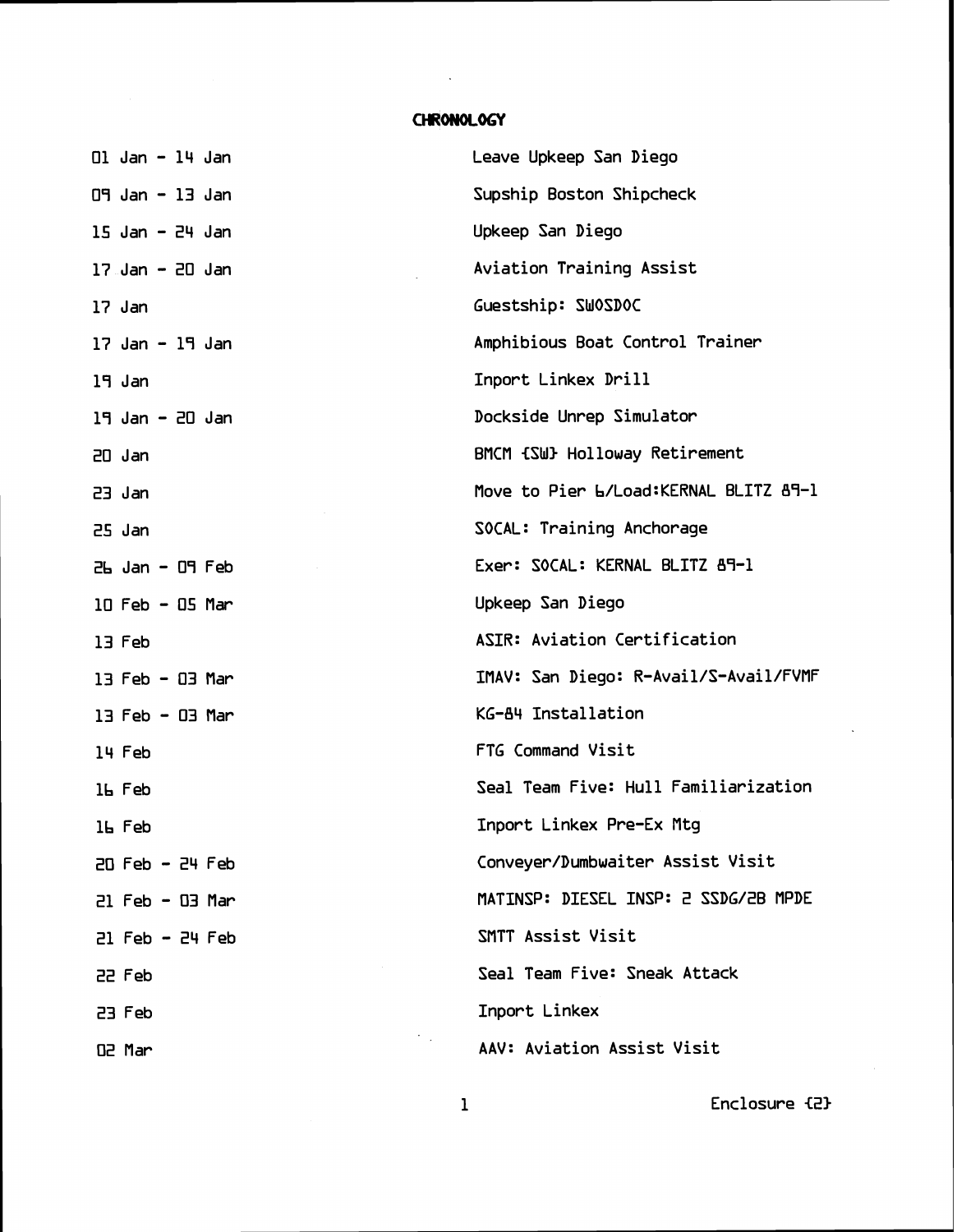## CHRONOLOGY

 $\sim$  .

| $\Box$ Jan - $\Box$ 4 Jan | Leave Upkeep San Diego                 |
|---------------------------|----------------------------------------|
| $09$ Jan - 13 Jan         | Supship Boston Shipcheck               |
| $15$ Jan - 24 Jan         | Upkeep San Diego                       |
| $17$ Jan - 20 Jan         | Aviation Training Assist               |
| 17 Jan                    | Guestship: SWOSDOC                     |
| $17$ Jan - $19$ Jan       | Amphibious Boat Control Trainer        |
| 19 Jan                    | Inport Linkex Drill                    |
| $19$ Jan - $20$ Jan       | Dockside Unrep Simulator               |
| $20$ Jan                  | BMCM {SW} Holloway Retirement          |
| $23$ Jan                  | Move to Pier L/Load: KERNAL BLITZ 89-1 |
| 25 Jan                    | SOCAL: Training Anchorage              |
| $2h$ Jan - $09$ Feb       | Exer: SOCAL: KERNAL BLITZ 89-1         |
| $10$ Feb - $05$ Mar       | Upkeep San Diego                       |
| 13 Feb                    | ASIR: Aviation Certification           |
| $13$ Feb - $03$ Mar       | IMAV: San Diego: R-Avail/S-Avail/FVMF  |
| $13$ Feb - $03$ Mar       | KG-84 Installation                     |
| 14 Feb                    | FTG Command Visit                      |
| 16 Feb                    | Seal Team Five: Hull Familiarization   |
| 16 Feb                    | Inport Linkex Pre-Ex Mtg               |
| $20$ Feb - $24$ Feb       | Conveyer/Dumbwaiter Assist Visit       |
| $21$ Feb - $03$ Mar       | MATINSP: DIESEL INSP: 2 SSDG/2B MPDE   |
| $21$ Feb - $24$ Feb       | SMTT Assist Visit                      |
| 22 Feb                    | Seal Team Five: Sneak Attack           |
| 23 Feb                    | Inport Linkex                          |
| O2 Mar                    | AAV: Aviation Assist Visit             |

1 Enclosure **(21**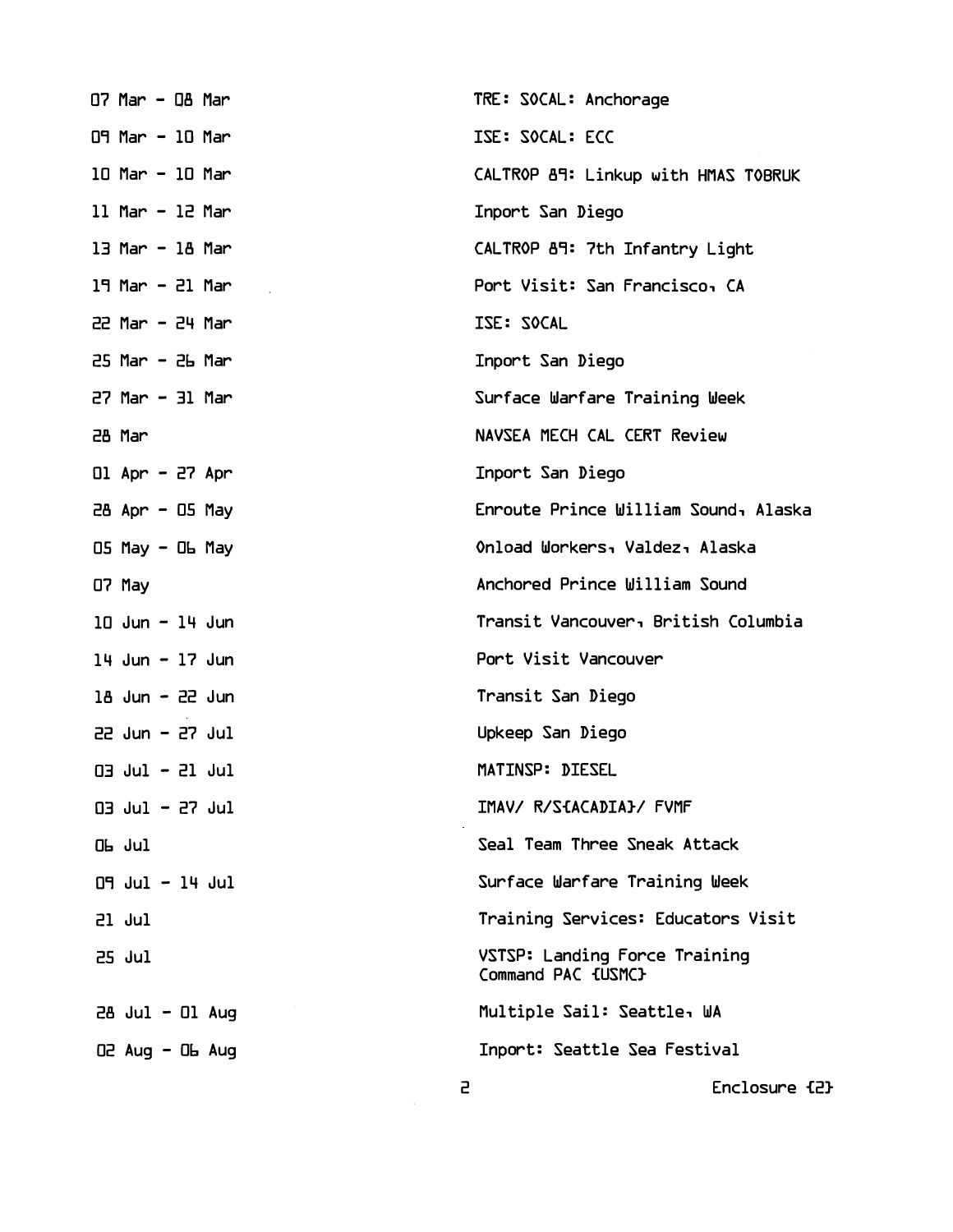| $O7$ Mar - $OB$ Mar                                     |  |                     | TRE: SOCAL: Anchorage                               |
|---------------------------------------------------------|--|---------------------|-----------------------------------------------------|
| 09 Mar - 10 Mar                                         |  |                     | ISE: SOCAL: ECC                                     |
| 10 Mar - 10 Mar                                         |  |                     | CALTROP 89: Linkup with HMAS TOBRUK                 |
| $11$ Mar - $12$ Mar                                     |  |                     | Inport San Diego                                    |
| 13 Mar - 18 Mar                                         |  |                     | CALTROP 89: 7th Infantry Light                      |
| $19$ Mar - 21 Mar                                       |  |                     | Port Visit: San Francisco, CA                       |
| $22$ Mar - $24$ Mar                                     |  |                     | ISE: SOCAL                                          |
| $25$ Mar - $2b$ Mar                                     |  |                     | Inport San Diego                                    |
| $27$ Mar $-$ 31 Mar                                     |  |                     | Surface Warfare Training Week                       |
| 28 Mar                                                  |  |                     | NAVSEA MECH CAL CERT Review                         |
| $Q1$ Apr - 27 Apr                                       |  |                     | Inport San Diego                                    |
| $28$ Apr - $05$ May                                     |  |                     | Enroute Prince William Sound, Alaska                |
| $OS$ May $-$ Ob May                                     |  |                     | Onload Workers, Valdez, Alaska                      |
| O7 May                                                  |  |                     | Anchored Prince William Sound                       |
| $10$ Jun - $14$ Jun                                     |  |                     | Transit Vancouver, British Columbia                 |
| $14$ Jun - $17$ Jun                                     |  |                     | Port Visit Vancouver                                |
| $18$ Jun - $22$ Jun                                     |  |                     | Transit San Diego                                   |
| $22$ Jun - $27$ Jul                                     |  |                     | Upkeep San Diego                                    |
| $Q3$ $Ju1 - 21$ $Ju1$                                   |  |                     | MATINSP: DIESEL                                     |
| $Q3$ Jul - 27 Jul                                       |  |                     | IMAV/ R/S{ACADIA}/ FVMF                             |
| Ob Jul                                                  |  |                     | Seal Team Three Sneak Attack                        |
| $\Box$ $\Box$ $\Box$ $\Box$ $\Box$ $\Box$ $\Box$ $\Box$ |  |                     | Surface Warfare Training Week                       |
| 21 Jul                                                  |  |                     | Training Services: Educators Visit                  |
| 25 Jul                                                  |  |                     | VSTSP: Landing Force Training<br>Command PAC {USMC} |
|                                                         |  | $28$ Jul - Ol Aug   | Multiple Sail: Seattle, WA                          |
|                                                         |  | $02$ Aug - $06$ Aug | Inport: Seattle Sea Festival                        |
|                                                         |  | 5                   | Enclosure fi                                        |

Enclosure {2}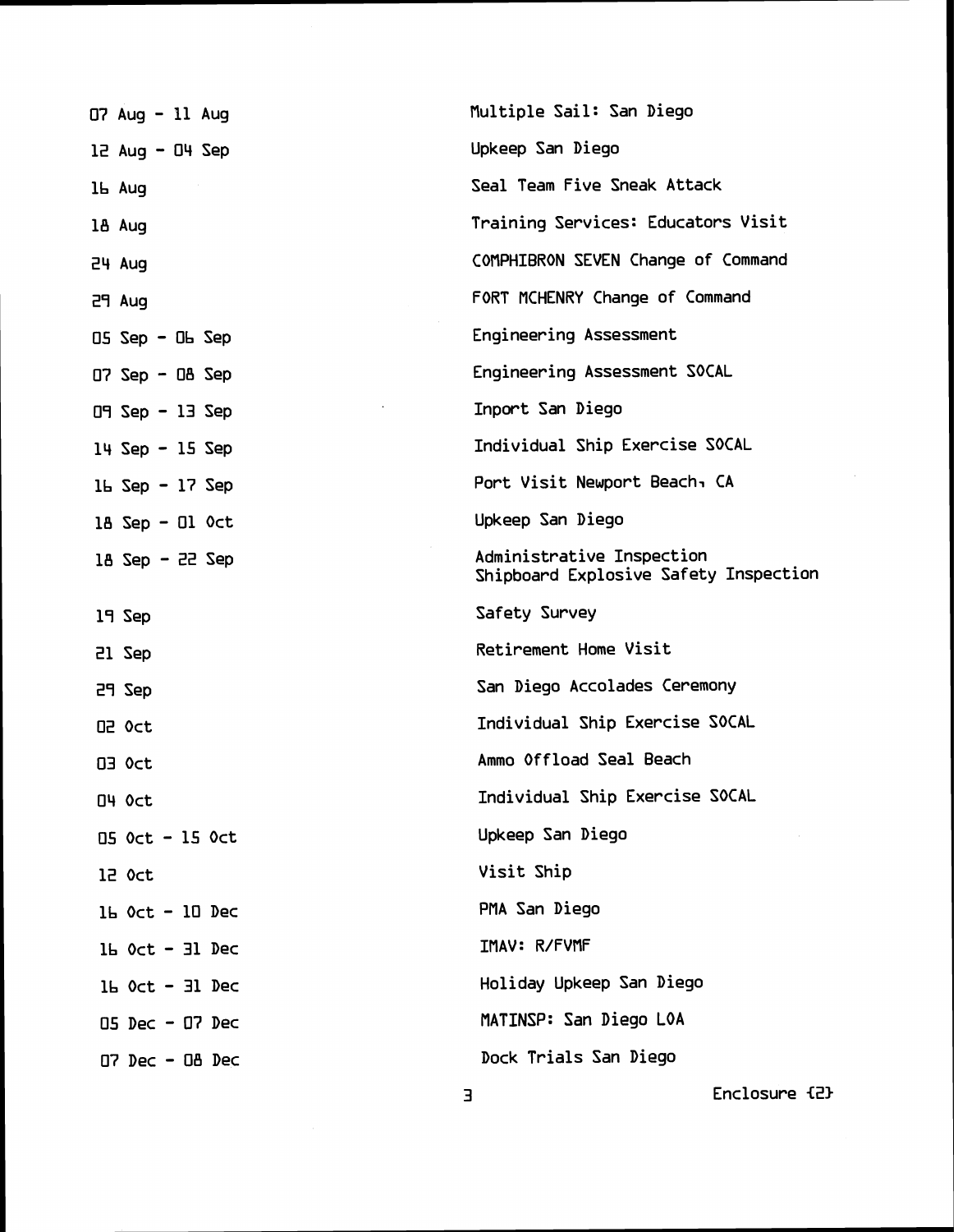| $07$ Aug - 11 Aug    | Multiple Sail: San Diego                                           |
|----------------------|--------------------------------------------------------------------|
| $12$ Aug - $04$ Sep  | Upkeep San Diego                                                   |
| 16 Aug               | Seal Team Five Sneak Attack                                        |
| 18 Aug               | Training Services: Educators Visit                                 |
| 24 Aug               | COMPHIBRON SEVEN Change of Command                                 |
| 29 Aug               | FORT MCHENRY Change of Command                                     |
| $05$ Sep - $0b$ Sep  | Engineering Assessment                                             |
|                      | Engineering Assessment SOCAL                                       |
| $D9$ Sep - 13 Sep    | Inport San Diego                                                   |
| $14$ Sep - 15 Sep    | Individual Ship Exercise SOCAL                                     |
| $16$ Sep - $17$ Sep  | Port Visit Newport Beach, CA                                       |
| $18$ Sep - Ol $0$ ct | Upkeep San Diego                                                   |
| $18$ Sep - 22 Sep    | Administrative Inspection<br>Shipboard Explosive Safety Inspection |
| 19 Sep               | Safety Survey                                                      |
| 21 Sep               | Retirement Home Visit                                              |
| 29 Sep               | San Diego Accolades Ceremony                                       |
| O2 Oct               | Individual Ship Exercise SOCAL                                     |
| <b>O3 Oct</b>        | Ammo Offload Seal Beach                                            |
| O4 Oct               | Individual Ship Exercise SOCAL                                     |
| 05 Oct - 15 Oct      | Upkeep San Diego                                                   |
| 12 Oct               | Visit Ship                                                         |
| $16$ Oct - $10$ Dec  | PMA San Diego                                                      |
| $1b$ Oct - 31 Dec    | IMAV: R/FVMF                                                       |
| $1b$ Oct - 31 Dec    | Holiday Upkeep San Diego                                           |
| $05$ Dec - $07$ Dec  | MATINSP: San Diego LOA                                             |
| $D7$ Dec - $DB$ Dec  | Dock Trials San Diego                                              |
|                      | Enclosure {2}<br>Е                                                 |

 $\bar{z}$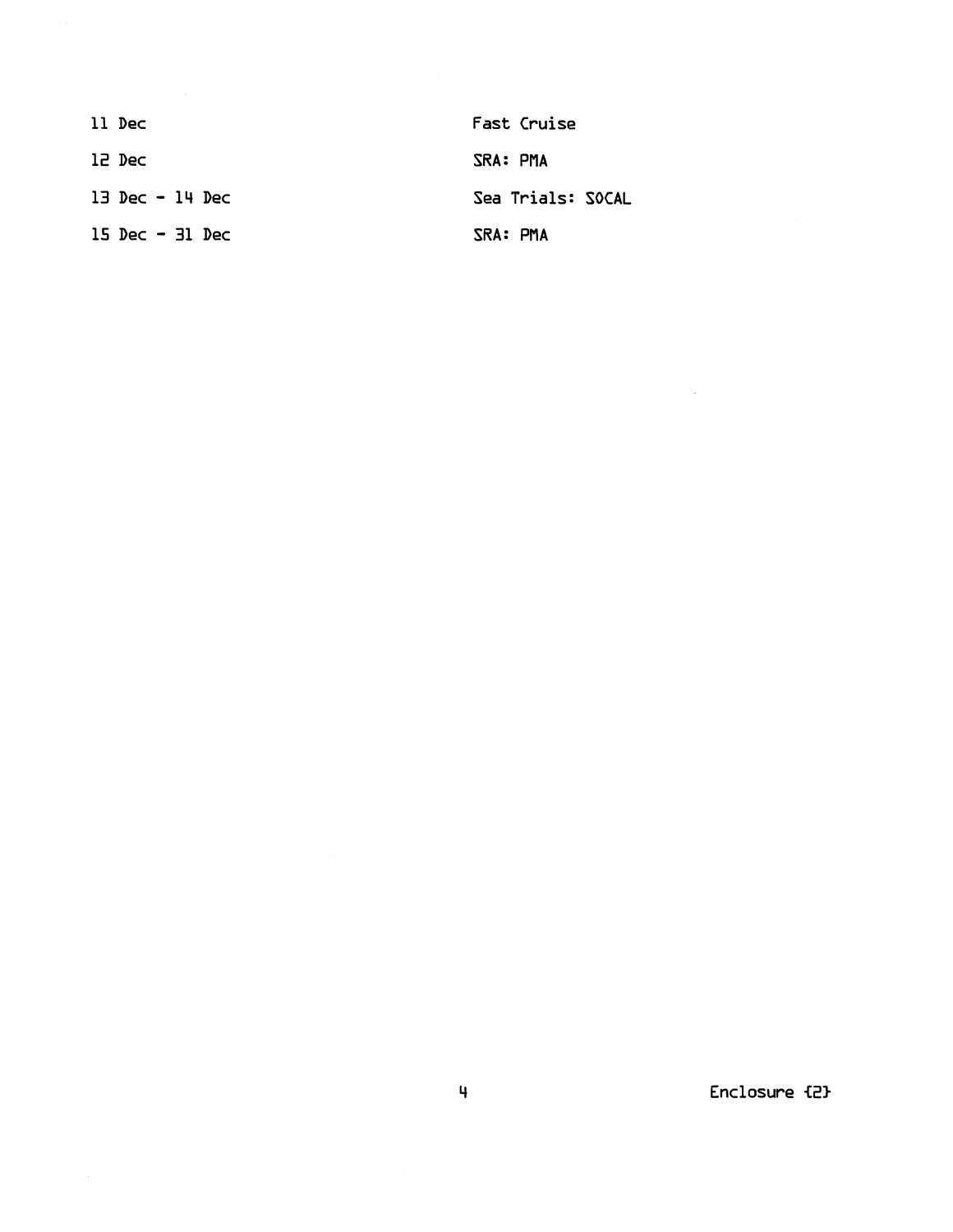| 11 Dec                            | Fast Cruise       |
|-----------------------------------|-------------------|
| 12 Dec                            | SRA: PMA          |
| $13 \text{ Dec} - 14 \text{ Dec}$ | Sea Trials: SOCAL |
| $15 \text{ Dec} - 31 \text{ Dec}$ | SRA: PMA          |

**Enclosure €2)** 

 $\mathcal{L}^{\text{max}}_{\text{max}}$  , where  $\mathcal{L}^{\text{max}}_{\text{max}}$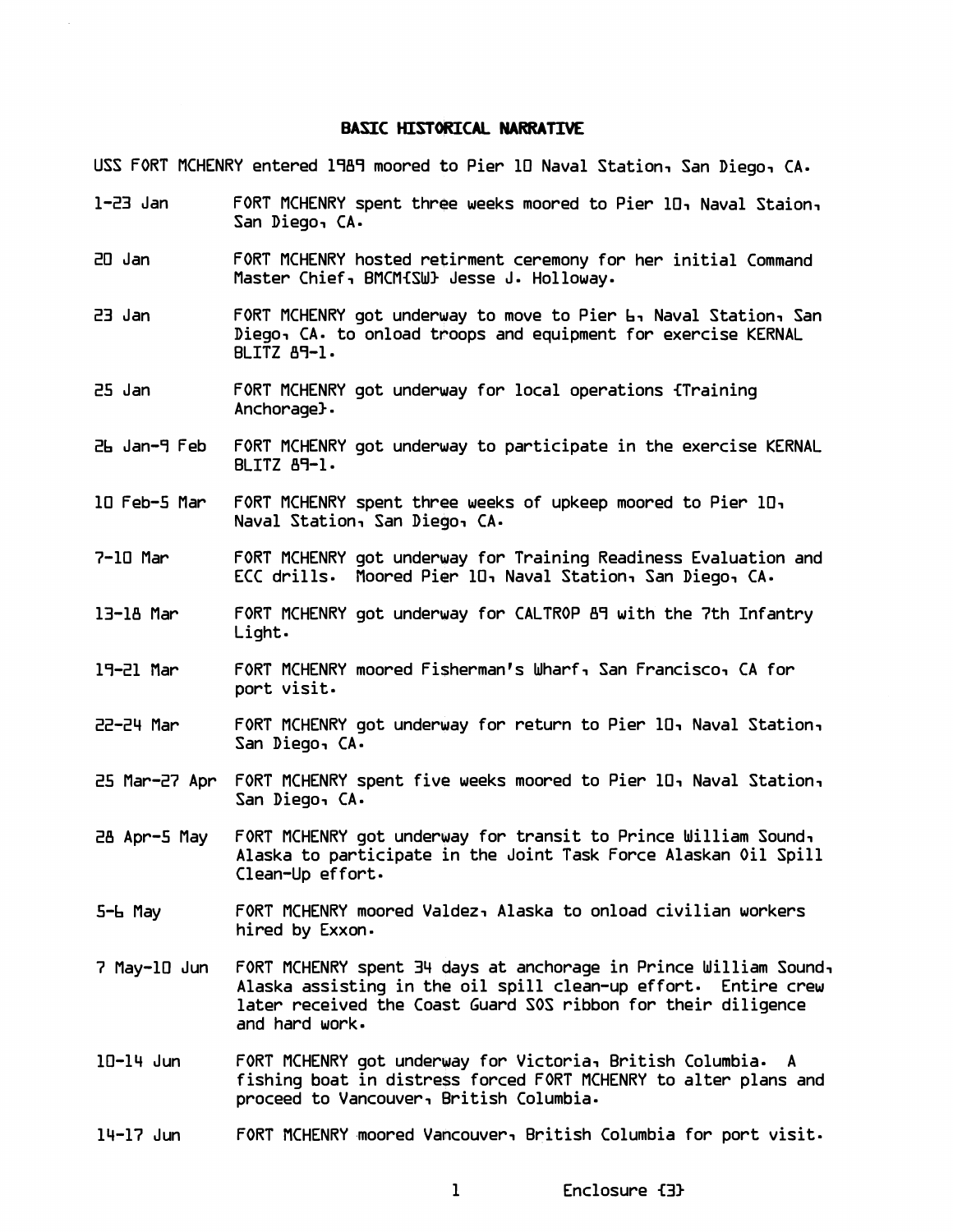## **BASIC** HISTOkICAL **NARRATIVE**

USS FORT MCHENRY entered 1989 moored to Pier 10 Naval Station, San Diego, CA.

- 1-23 Jan FORT MCHENRY spent three weeks moored to Pier 101 Naval Staion, San Diego, CA.
- 20 Jan FORT MCHENRY hosted retirment ceremony for her initial Command Master Chief, BMCM{SW} Jesse J. Holloway.
- 23 Jan FORT MCHENRY got underway to move to Pier 61 Naval Station, San Diego, CA. to onload troops and equipment for exercise KERNAL  $BLITZ$   $A9-1$ .
- 25 Jan FORT MCHENRY got underway for local operations {Training Anchorage).
- 26 Jan-7 Feb FORT MCHENRY got underway to participate in the exercise KERNAL BLITZ 89-1-
- 10 Feb-5 Mar FORT MCHENRY spent three weeks of upkeep moored to Pier 10, Naval Station, San Diego, CA-
- 7-10 Mar FORT MCHENRY got underway for Training Readiness Evaluation and ECC drills. Moored Pier 10, Naval Station, San Diego, CA.
- 13-18 Mar FORT MCHENRY got underway for CALTROP 87 with the 7th Infantry Light
- 17-21 Mar FORT MCHENRY moored Fi\$hermanls Wharf, San Francisco, CA for port visit.
- 22-24 Mar FORT MCHENRY got underway for return to Pier 101 Naval Station, San Diego, CA.
- 25 Mar-27 Apr FORT MCHENRY spent five weeks moored to Pier 10, Naval Station, San Diego, CA.
- 28 Apr-5 May FORT MCHENRY got underway for transit to Prince William Sound, Alaska to participate in the Joint Task Force Alaskan Oil Spill Clean-Up effort-
- 5-6 May FORT MCHENRY moored Valdez, Alaska to onload civilian workers hired by Exxon.
- 7 May-10 Jun FORT MCHENRY spent 34 days at anchorage in Prince William Sound, Alaska assisting in the oil spill clean-up effort. Entire crew later received the Coast Guard SOS ribbon for their diligence and hard work.
- 10-14 Jun FORT MCHENRY got underway for Victoria, British Columbia. A fishing boat in distress forced FORT MCHENRY to alter plans and proceed to Vancouver, British Columbia.
- 14-17 Jun FORT MCHENRY .moored Vancouver, British Columbia for port visit.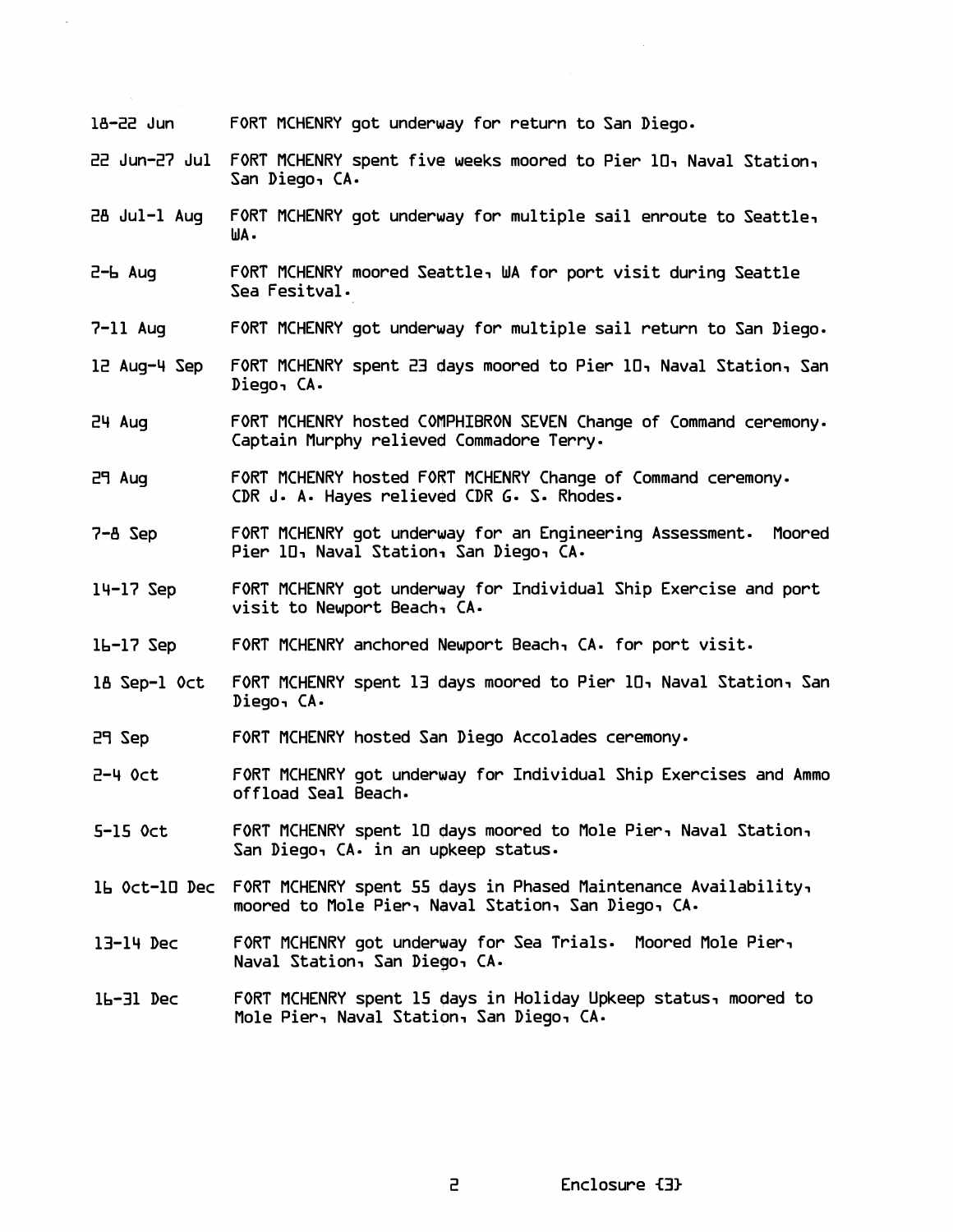| 18-22 Jun     | FORT MCHENRY got underway for return to San Diego.                                                                                 |
|---------------|------------------------------------------------------------------------------------------------------------------------------------|
| 22 Jun-27 Jul | FORT MCHENRY spent five weeks moored to Pier 10, Naval Station,<br>San Diego, CA.                                                  |
| 28 Jul-1 Aug  | FORT MCHENRY got underway for multiple sail enroute to Seattle,<br>WA.                                                             |
| $Z - h$ Aug   | FORT MCHENRY moored Seattle, WA for port visit during Seattle<br>Sea Fesitval.                                                     |
| $7-11$ Auq    | FORT MCHENRY got underway for multiple sail return to San Diego.                                                                   |
| 12 Aug-4 Sep  | FORT MCHENRY spent 23 days moored to Pier 10, Naval Station, San<br>Diego, CA.                                                     |
| 24 Aug        | FORT MCHENRY hosted COMPHIBRON SEVEN Change of Command ceremony.<br>Captain Murphy relieved Commadore Terry.                       |
| 29 Aug        | FORT MCHENRY hosted FORT MCHENRY Change of Command ceremony.<br>CDR J. A. Hayes relieved CDR G. S. Rhodes.                         |
| $7 - B$ Sep   | FORT MCHENRY got underway for an Engineering Assessment. Moored<br>Pier 10, Naval Station, San Diego, CA.                          |
| $14-17$ Sep   | FORT MCHENRY got underway for Individual Ship Exercise and port<br>visit to Newport Beach, CA.                                     |
| $16-17$ Sep   | FORT MCHENRY anchored Newport Beach, CA. for port visit.                                                                           |
| 18 Sep-1 Oct  | FORT MCHENRY spent 13 days moored to Pier 10, Naval Station, San<br>Diego, CA.                                                     |
| 29 Sep        | FORT MCHENRY hosted San Diego Accolades ceremony.                                                                                  |
| $Z - 4$ Oct   | FORT MCHENRY got underway for Individual Ship Exercises and Ammo<br>offload Seal Beach.                                            |
| $5-15$ Oct    | FORT MCHENRY spent 10 days moored to Mole Pier, Naval Station,<br>San Diego, CA. in an upkeep status.                              |
|               | 16 Oct-10 Dec FORT MCHENRY spent 55 days in Phased Maintenance Availability,<br>moored to Mole Pier, Naval Station, San Diego, CA. |
| 13-14 Dec     | FORT MCHENRY got underway for Sea Trials. Moored Mole Pier,<br>Naval Station, San Diego, CA.                                       |
| l6-31 Dec     | FORT MCHENRY spent 15 days in Holiday Upkeep status, moored to<br>Mole Pier, Naval Station, San Diego, CA.                         |
|               |                                                                                                                                    |

 $\sim$ 

Enclosure {3}

 $\mathsf{a}$